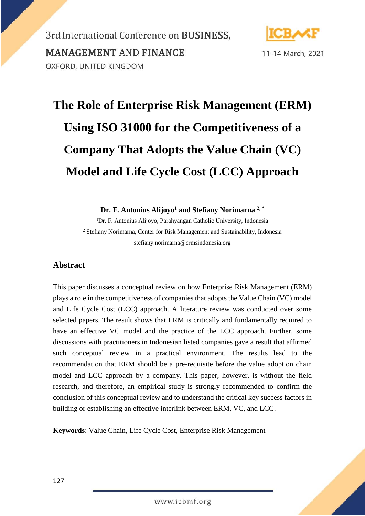

11-14 March, 2021

# **The Role of Enterprise Risk Management (ERM) Using ISO 31000 for the Competitiveness of a Company That Adopts the Value Chain (VC) Model and Life Cycle Cost (LCC) Approach**

**Dr. F. Antonius Alijoyo<sup>1</sup> and Stefiany Norimarna 2, \***

<sup>1</sup>Dr. F. Antonius Alijoyo, Parahyangan Catholic University, Indonesia <sup>2</sup> Stefiany Norimarna, Center for Risk Management and Sustainability, Indonesia stefiany.norimarna@crmsindonesia.org

#### **Abstract**

This paper discusses a conceptual review on how Enterprise Risk Management (ERM) plays a role in the competitiveness of companies that adopts the Value Chain (VC) model and Life Cycle Cost (LCC) approach. A literature review was conducted over some selected papers. The result shows that ERM is critically and fundamentally required to have an effective VC model and the practice of the LCC approach. Further, some discussions with practitioners in Indonesian listed companies gave a result that affirmed such conceptual review in a practical environment. The results lead to the recommendation that ERM should be a pre-requisite before the value adoption chain model and LCC approach by a company. This paper, however, is without the field research, and therefore, an empirical study is strongly recommended to confirm the conclusion of this conceptual review and to understand the critical key success factors in building or establishing an effective interlink between ERM, VC, and LCC.

**Keywords**: Value Chain, Life Cycle Cost, Enterprise Risk Management

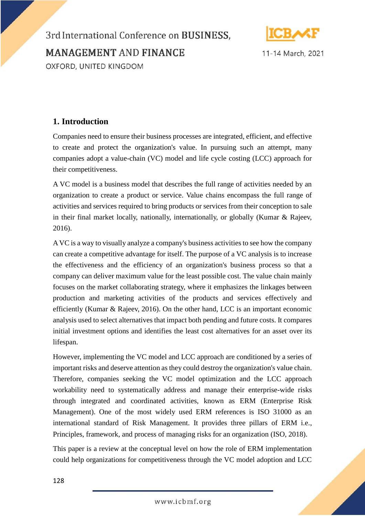

11-14 March, 2021

### **1. Introduction**

Companies need to ensure their business processes are integrated, efficient, and effective to create and protect the organization's value. In pursuing such an attempt, many companies adopt a value-chain (VC) model and life cycle costing (LCC) approach for their competitiveness.

A VC model is a business model that describes the full range of activities needed by an organization to create a product or service. Value chains encompass the full range of activities and services required to bring products or services from their conception to sale in their final market locally, nationally, internationally, or globally (Kumar & Rajeev, 2016).

A VC is a way to visually analyze a company's business activities to see how the company can create a competitive advantage for itself. The purpose of a VC analysis is to increase the effectiveness and the efficiency of an organization's business process so that a company can deliver maximum value for the least possible cost. The value chain mainly focuses on the market collaborating strategy, where it emphasizes the linkages between production and marketing activities of the products and services effectively and efficiently (Kumar & Rajeev, 2016). On the other hand, LCC is an important economic analysis used to select alternatives that impact both pending and future costs. It compares initial investment options and identifies the least cost alternatives for an asset over its lifespan.

However, implementing the VC model and LCC approach are conditioned by a series of important risks and deserve attention as they could destroy the organization's value chain. Therefore, companies seeking the VC model optimization and the LCC approach workability need to systematically address and manage their enterprise-wide risks through integrated and coordinated activities, known as ERM (Enterprise Risk Management). One of the most widely used ERM references is ISO 31000 as an international standard of Risk Management. It provides three pillars of ERM i.e., Principles, framework, and process of managing risks for an organization (ISO, 2018).

This paper is a review at the conceptual level on how the role of ERM implementation could help organizations for competitiveness through the VC model adoption and LCC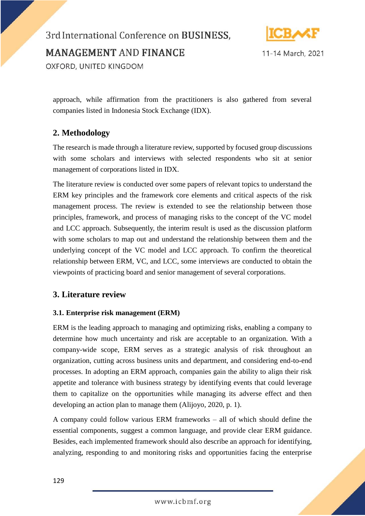# 3rd International Conference on BUSINESS, **MANAGEMENT AND FINANCE**



11-14 March, 2021

OXFORD, UNITED KINGDOM

approach, while affirmation from the practitioners is also gathered from several companies listed in Indonesia Stock Exchange (IDX).

### **2. Methodology**

The research is made through a literature review, supported by focused group discussions with some scholars and interviews with selected respondents who sit at senior management of corporations listed in IDX.

The literature review is conducted over some papers of relevant topics to understand the ERM key principles and the framework core elements and critical aspects of the risk management process. The review is extended to see the relationship between those principles, framework, and process of managing risks to the concept of the VC model and LCC approach. Subsequently, the interim result is used as the discussion platform with some scholars to map out and understand the relationship between them and the underlying concept of the VC model and LCC approach. To confirm the theoretical relationship between ERM, VC, and LCC, some interviews are conducted to obtain the viewpoints of practicing board and senior management of several corporations.

### **3. Literature review**

#### **3.1. Enterprise risk management (ERM)**

ERM is the leading approach to managing and optimizing risks, enabling a company to determine how much uncertainty and risk are acceptable to an organization. With a company-wide scope, ERM serves as a strategic analysis of risk throughout an organization, cutting across business units and department, and considering end-to-end processes. In adopting an ERM approach, companies gain the ability to align their risk appetite and tolerance with business strategy by identifying events that could leverage them to capitalize on the opportunities while managing its adverse effect and then developing an action plan to manage them (Alijoyo, 2020, p. 1).

A company could follow various ERM frameworks – all of which should define the essential components, suggest a common language, and provide clear ERM guidance. Besides, each implemented framework should also describe an approach for identifying, analyzing, responding to and monitoring risks and opportunities facing the enterprise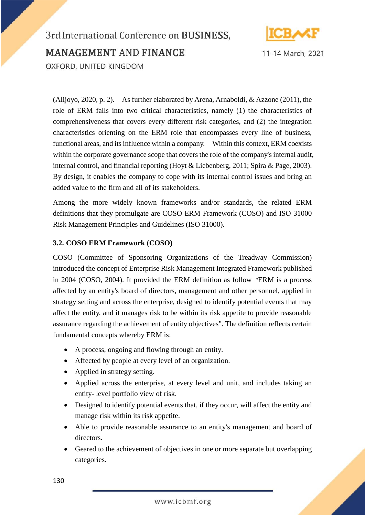

## 3rd International Conference on BUSINESS, **MANAGEMENT AND FINANCE** OXFORD, UNITED KINGDOM

(Alijoyo, 2020, p. 2). As further elaborated by Arena, Arnaboldi, & Azzone (2011), the role of ERM falls into two critical characteristics, namely (1) the characteristics of comprehensiveness that covers every different risk categories, and (2) the integration characteristics orienting on the ERM role that encompasses every line of business, functional areas, and its influence within a company. Within this context, ERM coexists within the corporate governance scope that covers the role of the company's internal audit, internal control, and financial reporting (Hoyt & Liebenberg, 2011; Spira & Page, 2003). By design, it enables the company to cope with its internal control issues and bring an added value to the firm and all of its stakeholders.

Among the more widely known frameworks and/or standards, the related ERM definitions that they promulgate are COSO ERM Framework (COSO) and ISO 31000 Risk Management Principles and Guidelines (ISO 31000).

#### **3.2. COSO ERM Framework (COSO)**

COSO (Committee of Sponsoring Organizations of the Treadway Commission) introduced the concept of Enterprise Risk Management Integrated Framework published in 2004 (COSO, 2004). It provided the ERM definition as follow "ERM is a process affected by an entity's board of directors, management and other personnel, applied in strategy setting and across the enterprise, designed to identify potential events that may affect the entity, and it manages risk to be within its risk appetite to provide reasonable assurance regarding the achievement of entity objectives". The definition reflects certain fundamental concepts whereby ERM is:

- A process, ongoing and flowing through an entity.
- Affected by people at every level of an organization.
- Applied in strategy setting.
- Applied across the enterprise, at every level and unit, and includes taking an entity- level portfolio view of risk.
- Designed to identify potential events that, if they occur, will affect the entity and manage risk within its risk appetite.
- Able to provide reasonable assurance to an entity's management and board of directors.
- Geared to the achievement of objectives in one or more separate but overlapping categories.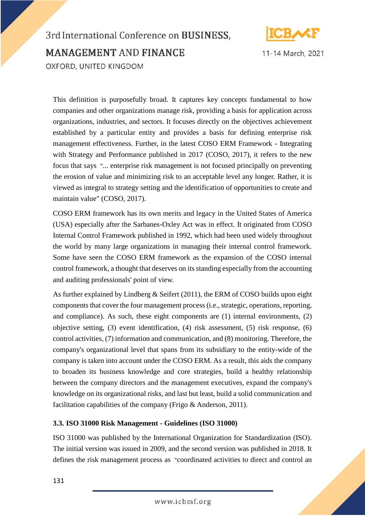

## 3rd International Conference on BUSINESS, **MANAGEMENT AND FINANCE** OXFORD, UNITED KINGDOM

This definition is purposefully broad. It captures key concepts fundamental to how companies and other organizations manage risk, providing a basis for application across organizations, industries, and sectors. It focuses directly on the objectives achievement established by a particular entity and provides a basis for defining enterprise risk management effectiveness. Further, in the latest COSO ERM Framework - Integrating with Strategy and Performance published in 2017 (COSO, 2017), it refers to the new focus that says "... enterprise risk management is not focused principally on preventing the erosion of value and minimizing risk to an acceptable level any longer. Rather, it is viewed as integral to strategy setting and the identification of opportunities to create and maintain value" (COSO, 2017).

COSO ERM framework has its own merits and legacy in the United States of America (USA) especially after the Sarbanes-Oxley Act was in effect. It originated from COSO Internal Control Framework published in 1992, which had been used widely throughout the world by many large organizations in managing their internal control framework. Some have seen the COSO ERM framework as the expansion of the COSO internal control framework, a thought that deserves on its standing especially from the accounting and auditing professionals' point of view.

As further explained by Lindberg & Seifert (2011), the ERM of COSO builds upon eight components that cover the four management process (i.e., strategic, operations, reporting, and compliance). As such, these eight components are (1) internal environments, (2) objective setting, (3) event identification, (4) risk assessment, (5) risk response, (6) control activities, (7) information and communication, and (8) monitoring. Therefore, the company's organizational level that spans from its subsidiary to the entity-wide of the company is taken into account under the COSO ERM. As a result, this aids the company to broaden its business knowledge and core strategies, build a healthy relationship between the company directors and the management executives, expand the company's knowledge on its organizational risks, and last but least, build a solid communication and facilitation capabilities of the company (Frigo & Anderson, 2011).

#### **3.3. ISO 31000 Risk Management - Guidelines (ISO 31000)**

ISO 31000 was published by the International Organization for Standardization (ISO). The initial version was issued in 2009, and the second version was published in 2018. It defines the risk management process as "coordinated activities to direct and control an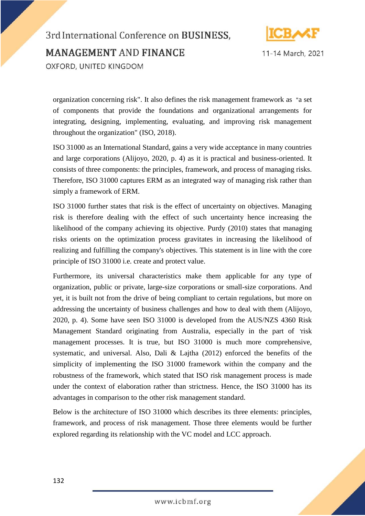

11-14 March, 2021

organization concerning risk". It also defines the risk management framework as "a set of components that provide the foundations and organizational arrangements for integrating, designing, implementing, evaluating, and improving risk management throughout the organization" (ISO, 2018).

ISO 31000 as an International Standard, gains a very wide acceptance in many countries and large corporations (Alijoyo, 2020, p. 4) as it is practical and business-oriented. It consists of three components: the principles, framework, and process of managing risks. Therefore, ISO 31000 captures ERM as an integrated way of managing risk rather than simply a framework of ERM.

ISO 31000 further states that risk is the effect of uncertainty on objectives. Managing risk is therefore dealing with the effect of such uncertainty hence increasing the likelihood of the company achieving its objective. Purdy (2010) states that managing risks orients on the optimization process gravitates in increasing the likelihood of realizing and fulfilling the company's objectives. This statement is in line with the core principle of ISO 31000 i.e. create and protect value.

Furthermore, its universal characteristics make them applicable for any type of organization, public or private, large-size corporations or small-size corporations. And yet, it is built not from the drive of being compliant to certain regulations, but more on addressing the uncertainty of business challenges and how to deal with them (Alijoyo, 2020, p. 4). Some have seen ISO 31000 is developed from the AUS/NZS 4360 Risk Management Standard originating from Australia, especially in the part of 'risk management processes. It is true, but ISO 31000 is much more comprehensive, systematic, and universal. Also, Dali & Lajtha (2012) enforced the benefits of the simplicity of implementing the ISO 31000 framework within the company and the robustness of the framework, which stated that ISO risk management process is made under the context of elaboration rather than strictness. Hence, the ISO 31000 has its advantages in comparison to the other risk management standard.

Below is the architecture of ISO 31000 which describes its three elements: principles, framework, and process of risk management. Those three elements would be further explored regarding its relationship with the VC model and LCC approach.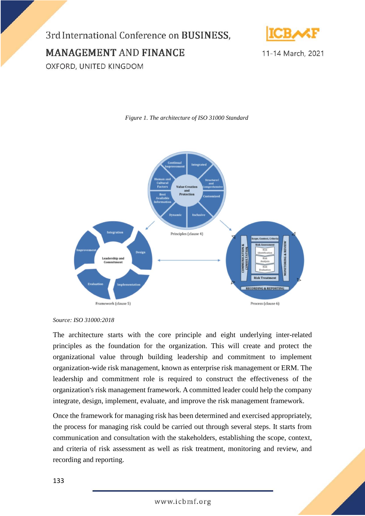3rd International Conference on BUSINESS, **MANAGEMENT AND FINANCE** 



11-14 March, 2021

OXFORD, UNITED KINGDOM



*Figure 1. The architecture of ISO 31000 Standard*

The architecture starts with the core principle and eight underlying inter-related principles as the foundation for the organization. This will create and protect the organizational value through building leadership and commitment to implement organization-wide risk management, known as enterprise risk management or ERM. The leadership and commitment role is required to construct the effectiveness of the organization's risk management framework. A committed leader could help the company integrate, design, implement, evaluate, and improve the risk management framework.

Once the framework for managing risk has been determined and exercised appropriately, the process for managing risk could be carried out through several steps. It starts from communication and consultation with the stakeholders, establishing the scope, context, and criteria of risk assessment as well as risk treatment, monitoring and review, and recording and reporting.

*Source: ISO 31000:2018*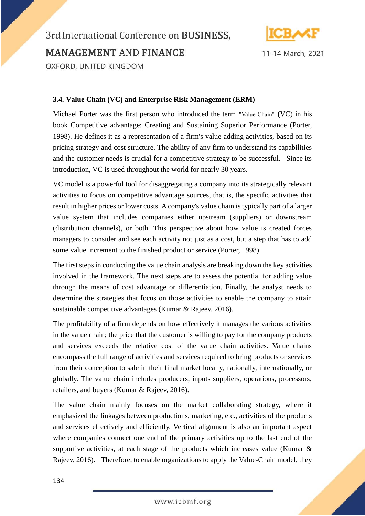

## 3rd International Conference on BUSINESS, **MANAGEMENT AND FINANCE** OXFORD, UNITED KINGDOM

#### **3.4. Value Chain (VC) and Enterprise Risk Management (ERM)**

Michael Porter was the first person who introduced the term "Value Chain" (VC) in his book Competitive advantage: Creating and Sustaining Superior Performance (Porter, 1998). He defines it as a representation of a firm's value-adding activities, based on its pricing strategy and cost structure. The ability of any firm to understand its capabilities and the customer needs is crucial for a competitive strategy to be successful. Since its introduction, VC is used throughout the world for nearly 30 years.

VC model is a powerful tool for disaggregating a company into its strategically relevant activities to focus on competitive advantage sources, that is, the specific activities that result in higher prices or lower costs. A company's value chain is typically part of a larger value system that includes companies either upstream (suppliers) or downstream (distribution channels), or both. This perspective about how value is created forces managers to consider and see each activity not just as a cost, but a step that has to add some value increment to the finished product or service (Porter, 1998).

The first steps in conducting the value chain analysis are breaking down the key activities involved in the framework. The next steps are to assess the potential for adding value through the means of cost advantage or differentiation. Finally, the analyst needs to determine the strategies that focus on those activities to enable the company to attain sustainable competitive advantages (Kumar & Rajeev, 2016).

The profitability of a firm depends on how effectively it manages the various activities in the value chain; the price that the customer is willing to pay for the company products and services exceeds the relative cost of the value chain activities. Value chains encompass the full range of activities and services required to bring products or services from their conception to sale in their final market locally, nationally, internationally, or globally. The value chain includes producers, inputs suppliers, operations, processors, retailers, and buyers (Kumar & Rajeev, 2016).

The value chain mainly focuses on the market collaborating strategy, where it emphasized the linkages between productions, marketing, etc., activities of the products and services effectively and efficiently. Vertical alignment is also an important aspect where companies connect one end of the primary activities up to the last end of the supportive activities, at each stage of the products which increases value (Kumar & Rajeev, 2016). Therefore, to enable organizations to apply the Value-Chain model, they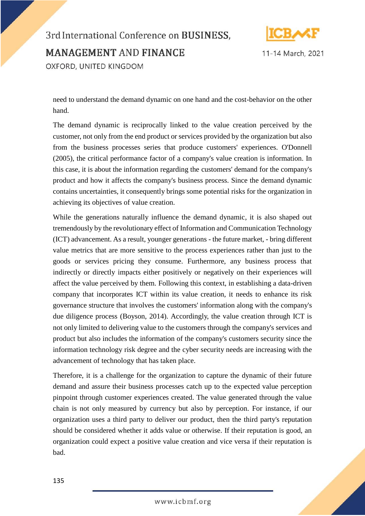

11-14 March, 2021

need to understand the demand dynamic on one hand and the cost-behavior on the other hand.

The demand dynamic is reciprocally linked to the value creation perceived by the customer, not only from the end product or services provided by the organization but also from the business processes series that produce customers' experiences. O'Donnell (2005), the critical performance factor of a company's value creation is information. In this case, it is about the information regarding the customers' demand for the company's product and how it affects the company's business process. Since the demand dynamic contains uncertainties, it consequently brings some potential risks for the organization in achieving its objectives of value creation.

While the generations naturally influence the demand dynamic, it is also shaped out tremendously by the revolutionary effect of Information and Communication Technology (ICT) advancement. As a result, younger generations - the future market, - bring different value metrics that are more sensitive to the process experiences rather than just to the goods or services pricing they consume. Furthermore, any business process that indirectly or directly impacts either positively or negatively on their experiences will affect the value perceived by them. Following this context, in establishing a data-driven company that incorporates ICT within its value creation, it needs to enhance its risk governance structure that involves the customers' information along with the company's due diligence process (Boyson, 2014). Accordingly, the value creation through ICT is not only limited to delivering value to the customers through the company's services and product but also includes the information of the company's customers security since the information technology risk degree and the cyber security needs are increasing with the advancement of technology that has taken place.

Therefore, it is a challenge for the organization to capture the dynamic of their future demand and assure their business processes catch up to the expected value perception pinpoint through customer experiences created. The value generated through the value chain is not only measured by currency but also by perception. For instance, if our organization uses a third party to deliver our product, then the third party's reputation should be considered whether it adds value or otherwise. If their reputation is good, an organization could expect a positive value creation and vice versa if their reputation is bad.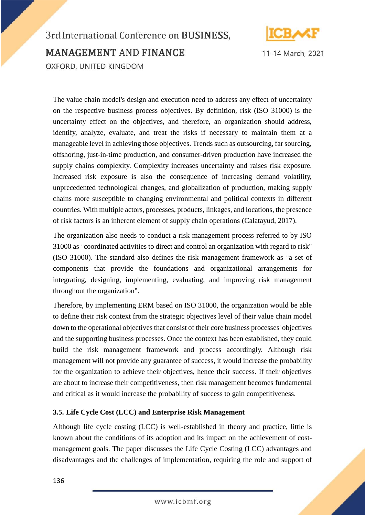

# 3rd International Conference on BUSINESS, **MANAGEMENT AND FINANCE** OXFORD, UNITED KINGDOM

The value chain model's design and execution need to address any effect of uncertainty on the respective business process objectives. By definition, risk (ISO 31000) is the uncertainty effect on the objectives, and therefore, an organization should address, identify, analyze, evaluate, and treat the risks if necessary to maintain them at a manageable level in achieving those objectives. Trends such as outsourcing, far sourcing, offshoring, just-in-time production, and consumer-driven production have increased the supply chains complexity. Complexity increases uncertainty and raises risk exposure. Increased risk exposure is also the consequence of increasing demand volatility, unprecedented technological changes, and globalization of production, making supply chains more susceptible to changing environmental and political contexts in different countries. With multiple actors, processes, products, linkages, and locations, the presence of risk factors is an inherent element of supply chain operations (Calatayud, 2017).

The organization also needs to conduct a risk management process referred to by ISO 31000 as "coordinated activities to direct and control an organization with regard to risk" (ISO 31000). The standard also defines the risk management framework as "a set of components that provide the foundations and organizational arrangements for integrating, designing, implementing, evaluating, and improving risk management throughout the organization".

Therefore, by implementing ERM based on ISO 31000, the organization would be able to define their risk context from the strategic objectives level of their value chain model down to the operational objectives that consist of their core business processes' objectives and the supporting business processes. Once the context has been established, they could build the risk management framework and process accordingly. Although risk management will not provide any guarantee of success, it would increase the probability for the organization to achieve their objectives, hence their success. If their objectives are about to increase their competitiveness, then risk management becomes fundamental and critical as it would increase the probability of success to gain competitiveness.

#### **3.5. Life Cycle Cost (LCC) and Enterprise Risk Management**

Although life cycle costing (LCC) is well-established in theory and practice, little is known about the conditions of its adoption and its impact on the achievement of costmanagement goals. The paper discusses the Life Cycle Costing (LCC) advantages and disadvantages and the challenges of implementation, requiring the role and support of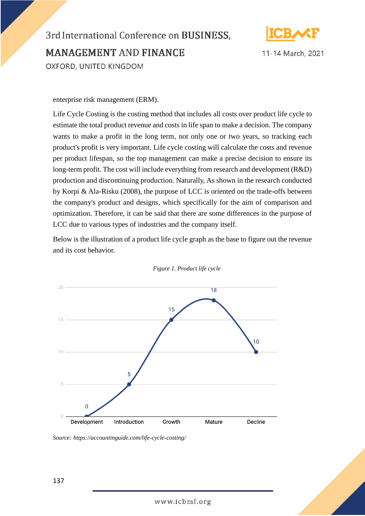

11-14 March, 2021

enterprise risk management (ERM).

Life Cycle Costing is the costing method that includes all costs over product life cycle to estimate the total product revenue and costs in life span to make a decision. The company wants to make a profit in the long term, not only one or two years, so tracking each product's profit is very important. Life cycle costing will calculate the costs and revenue per product lifespan, so the top management can make a precise decision to ensure its long-term profit. The cost will include everything from research and development (R&D) production and discontinuing production. Naturally, As shown in the research conducted by Korpi & Ala-Risku (2008), the purpose of LCC is oriented on the trade-offs between the company's product and designs, which specifically for the aim of comparison and optimization. Therefore, it can be said that there are some differences in the purpose of LCC due to various types of industries and the company itself.

Below is the illustration of a product life cycle graph as the base to figure out the revenue and its cost behavior.



*Figure 1. Product life cycle*

*Source: https://accountinguide.com/life-cycle-costing/*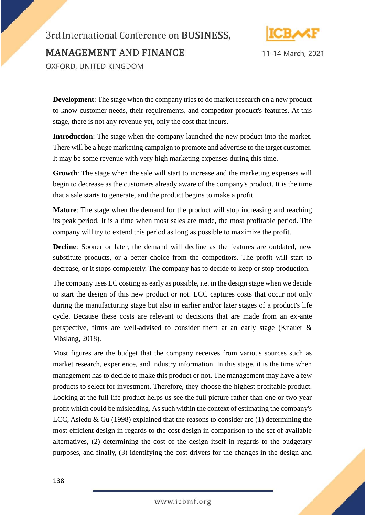



**Development**: The stage when the company tries to do market research on a new product to know customer needs, their requirements, and competitor product's features. At this stage, there is not any revenue yet, only the cost that incurs.

**Introduction**: The stage when the company launched the new product into the market. There will be a huge marketing campaign to promote and advertise to the target customer. It may be some revenue with very high marketing expenses during this time.

**Growth**: The stage when the sale will start to increase and the marketing expenses will begin to decrease as the customers already aware of the company's product. It is the time that a sale starts to generate, and the product begins to make a profit.

**Mature**: The stage when the demand for the product will stop increasing and reaching its peak period. It is a time when most sales are made, the most profitable period. The company will try to extend this period as long as possible to maximize the profit.

**Decline**: Sooner or later, the demand will decline as the features are outdated, new substitute products, or a better choice from the competitors. The profit will start to decrease, or it stops completely. The company has to decide to keep or stop production.

The company uses LC costing as early as possible, i.e. in the design stage when we decide to start the design of this new product or not. LCC captures costs that occur not only during the manufacturing stage but also in earlier and/or later stages of a product's life cycle. Because these costs are relevant to decisions that are made from an ex-ante perspective, firms are well-advised to consider them at an early stage (Knauer & Möslang, 2018).

Most figures are the budget that the company receives from various sources such as market research, experience, and industry information. In this stage, it is the time when management has to decide to make this product or not. The management may have a few products to select for investment. Therefore, they choose the highest profitable product. Looking at the full life product helps us see the full picture rather than one or two year profit which could be misleading. As such within the context of estimating the company's LCC, Asiedu & Gu (1998) explained that the reasons to consider are  $(1)$  determining the most efficient design in regards to the cost design in comparison to the set of available alternatives, (2) determining the cost of the design itself in regards to the budgetary purposes, and finally, (3) identifying the cost drivers for the changes in the design and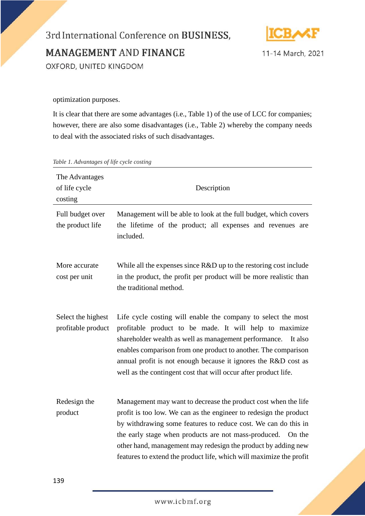

11-14 March, 2021

optimization purposes.

It is clear that there are some advantages (i.e., Table 1) of the use of LCC for companies; however, there are also some disadvantages (i.e., Table 2) whereby the company needs to deal with the associated risks of such disadvantages.

| The Advantages<br>of life cycle<br>costing | Description                                                                                                                                                                                                                                                                                                                                                                                                  |
|--------------------------------------------|--------------------------------------------------------------------------------------------------------------------------------------------------------------------------------------------------------------------------------------------------------------------------------------------------------------------------------------------------------------------------------------------------------------|
| Full budget over<br>the product life       | Management will be able to look at the full budget, which covers<br>the lifetime of the product; all expenses and revenues are<br>included.                                                                                                                                                                                                                                                                  |
| More accurate<br>cost per unit             | While all the expenses since R&D up to the restoring cost include<br>in the product, the profit per product will be more realistic than<br>the traditional method.                                                                                                                                                                                                                                           |
| Select the highest<br>profitable product   | Life cycle costing will enable the company to select the most<br>profitable product to be made. It will help to maximize<br>shareholder wealth as well as management performance.<br>It also<br>enables comparison from one product to another. The comparison<br>annual profit is not enough because it ignores the R&D cost as<br>well as the contingent cost that will occur after product life.          |
| Redesign the<br>product                    | Management may want to decrease the product cost when the life<br>profit is too low. We can as the engineer to redesign the product<br>by withdrawing some features to reduce cost. We can do this in<br>the early stage when products are not mass-produced. On the<br>other hand, management may redesign the product by adding new<br>features to extend the product life, which will maximize the profit |

*Table 1. Advantages of life cycle costing*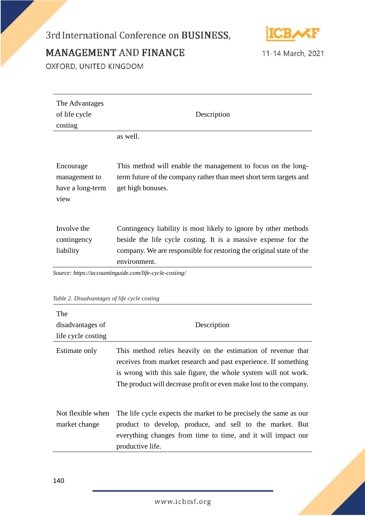### 3rd International Conference on BUSINESS,



**MANAGEMENT AND FINANCE** 

11-14 March, 2021

OXFORD, UNITED KINGDOM

| The Advantages<br>of life cycle<br>costing   | Description                                                                                                                                                                                                                                                                        |  |
|----------------------------------------------|------------------------------------------------------------------------------------------------------------------------------------------------------------------------------------------------------------------------------------------------------------------------------------|--|
|                                              | as well.                                                                                                                                                                                                                                                                           |  |
|                                              |                                                                                                                                                                                                                                                                                    |  |
| Encourage                                    | This method will enable the management to focus on the long-                                                                                                                                                                                                                       |  |
| management to                                | term future of the company rather than meet short term targets and                                                                                                                                                                                                                 |  |
| have a long-term                             | get high bonuses.                                                                                                                                                                                                                                                                  |  |
| view                                         |                                                                                                                                                                                                                                                                                    |  |
| Involve the<br>contingency<br>liability      | Contingency liability is most likely to ignore by other methods<br>beside the life cycle costing. It is a massive expense for the<br>company. We are responsible for restoring the original state of the<br>environment.<br>Source: https://accountinguide.com/life-cycle-costing/ |  |
|                                              |                                                                                                                                                                                                                                                                                    |  |
| Table 2. Disadvantages of life cycle costing |                                                                                                                                                                                                                                                                                    |  |
| $\sim$                                       |                                                                                                                                                                                                                                                                                    |  |

| The<br>disadvantages of<br>life cycle costing | Description                                                                                                                                                                                                                                                              |
|-----------------------------------------------|--------------------------------------------------------------------------------------------------------------------------------------------------------------------------------------------------------------------------------------------------------------------------|
| Estimate only                                 | This method relies heavily on the estimation of revenue that<br>receives from market research and past experience. If something<br>is wrong with this sale figure, the whole system will not work.<br>The product will decrease profit or even make lost to the company. |
| Not flexible when<br>market change            | The life cycle expects the market to be precisely the same as our<br>product to develop, produce, and sell to the market. But<br>everything changes from time to time, and it will impact our<br>productive life.                                                        |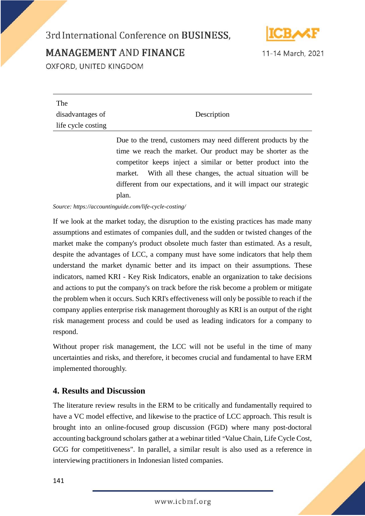### 3rd International Conference on BUSINESS,



11-14 March, 2021

**MANAGEMENT AND FINANCE** 

OXFORD, UNITED KINGDOM

| The                |                                                               |
|--------------------|---------------------------------------------------------------|
| disadvantages of   | Description                                                   |
| life cycle costing |                                                               |
|                    | Due to the trend customers may need different products by the |

Due to the trend, customers may need different products by the time we reach the market. Our product may be shorter as the competitor keeps inject a similar or better product into the market. With all these changes, the actual situation will be different from our expectations, and it will impact our strategic plan.

*Source: https://accountinguide.com/life-cycle-costing/*

If we look at the market today, the disruption to the existing practices has made many assumptions and estimates of companies dull, and the sudden or twisted changes of the market make the company's product obsolete much faster than estimated. As a result, despite the advantages of LCC, a company must have some indicators that help them understand the market dynamic better and its impact on their assumptions. These indicators, named KRI - Key Risk Indicators, enable an organization to take decisions and actions to put the company's on track before the risk become a problem or mitigate the problem when it occurs. Such KRI's effectiveness will only be possible to reach if the company applies enterprise risk management thoroughly as KRI is an output of the right risk management process and could be used as leading indicators for a company to respond.

Without proper risk management, the LCC will not be useful in the time of many uncertainties and risks, and therefore, it becomes crucial and fundamental to have ERM implemented thoroughly.

### **4. Results and Discussion**

The literature review results in the ERM to be critically and fundamentally required to have a VC model effective, and likewise to the practice of LCC approach. This result is brought into an online-focused group discussion (FGD) where many post-doctoral accounting background scholars gather at a webinar titled "Value Chain, Life Cycle Cost, GCG for competitiveness". In parallel, a similar result is also used as a reference in interviewing practitioners in Indonesian listed companies.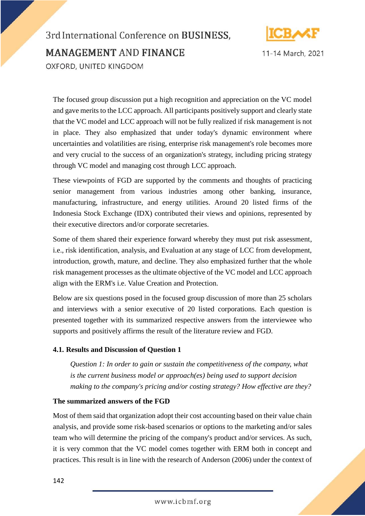

3rd International Conference on BUSINESS. **MANAGEMENT AND FINANCE** OXFORD, UNITED KINGDOM

The focused group discussion put a high recognition and appreciation on the VC model and gave merits to the LCC approach. All participants positively support and clearly state that the VC model and LCC approach will not be fully realized if risk management is not in place. They also emphasized that under today's dynamic environment where uncertainties and volatilities are rising, enterprise risk management's role becomes more and very crucial to the success of an organization's strategy, including pricing strategy through VC model and managing cost through LCC approach.

These viewpoints of FGD are supported by the comments and thoughts of practicing senior management from various industries among other banking, insurance, manufacturing, infrastructure, and energy utilities. Around 20 listed firms of the Indonesia Stock Exchange (IDX) contributed their views and opinions, represented by their executive directors and/or corporate secretaries.

Some of them shared their experience forward whereby they must put risk assessment, i.e., risk identification, analysis, and Evaluation at any stage of LCC from development, introduction, growth, mature, and decline. They also emphasized further that the whole risk management processes as the ultimate objective of the VC model and LCC approach align with the ERM's i.e. Value Creation and Protection.

Below are six questions posed in the focused group discussion of more than 25 scholars and interviews with a senior executive of 20 listed corporations. Each question is presented together with its summarized respective answers from the interviewee who supports and positively affirms the result of the literature review and FGD.

#### **4.1. Results and Discussion of Question 1**

*Question 1: In order to gain or sustain the competitiveness of the company, what is the current business model or approach(es) being used to support decision making to the company's pricing and/or costing strategy? How effective are they?*

#### **The summarized answers of the FGD**

Most of them said that organization adopt their cost accounting based on their value chain analysis, and provide some risk-based scenarios or options to the marketing and/or sales team who will determine the pricing of the company's product and/or services. As such, it is very common that the VC model comes together with ERM both in concept and practices. This result is in line with the research of Anderson (2006) under the context of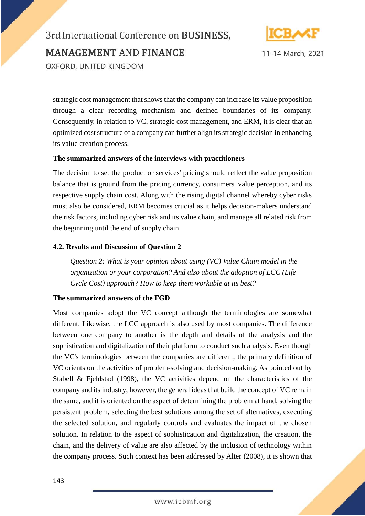



strategic cost management that shows that the company can increase its value proposition through a clear recording mechanism and defined boundaries of its company. Consequently, in relation to VC, strategic cost management, and ERM, it is clear that an optimized cost structure of a company can further align its strategic decision in enhancing its value creation process.

#### **The summarized answers of the interviews with practitioners**

The decision to set the product or services' pricing should reflect the value proposition balance that is ground from the pricing currency, consumers' value perception, and its respective supply chain cost. Along with the rising digital channel whereby cyber risks must also be considered, ERM becomes crucial as it helps decision-makers understand the risk factors, including cyber risk and its value chain, and manage all related risk from the beginning until the end of supply chain.

#### **4.2. Results and Discussion of Question 2**

*Question 2: What is your opinion about using (VC) Value Chain model in the organization or your corporation? And also about the adoption of LCC (Life Cycle Cost) approach? How to keep them workable at its best?*

#### **The summarized answers of the FGD**

Most companies adopt the VC concept although the terminologies are somewhat different. Likewise, the LCC approach is also used by most companies. The difference between one company to another is the depth and details of the analysis and the sophistication and digitalization of their platform to conduct such analysis. Even though the VC's terminologies between the companies are different, the primary definition of VC orients on the activities of problem-solving and decision-making. As pointed out by Stabell & Fjeldstad (1998), the VC activities depend on the characteristics of the company and its industry; however, the general ideas that build the concept of VC remain the same, and it is oriented on the aspect of determining the problem at hand, solving the persistent problem, selecting the best solutions among the set of alternatives, executing the selected solution, and regularly controls and evaluates the impact of the chosen solution. In relation to the aspect of sophistication and digitalization, the creation, the chain, and the delivery of value are also affected by the inclusion of technology within the company process. Such context has been addressed by Alter (2008), it is shown that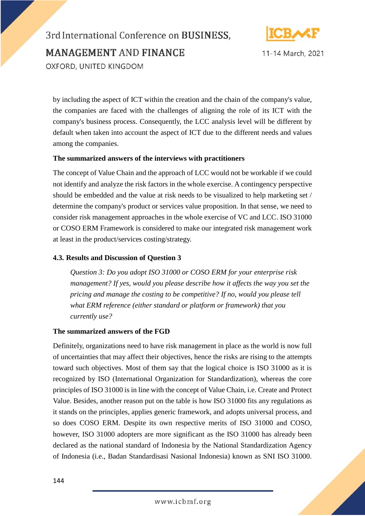



by including the aspect of ICT within the creation and the chain of the company's value, the companies are faced with the challenges of aligning the role of its ICT with the company's business process. Consequently, the LCC analysis level will be different by default when taken into account the aspect of ICT due to the different needs and values among the companies.

#### **The summarized answers of the interviews with practitioners**

The concept of Value Chain and the approach of LCC would not be workable if we could not identify and analyze the risk factors in the whole exercise. A contingency perspective should be embedded and the value at risk needs to be visualized to help marketing set / determine the company's product or services value proposition. In that sense, we need to consider risk management approaches in the whole exercise of VC and LCC. ISO 31000 or COSO ERM Framework is considered to make our integrated risk management work at least in the product/services costing/strategy.

#### **4.3. Results and Discussion of Question 3**

*Question 3: Do you adopt ISO 31000 or COSO ERM for your enterprise risk management? If yes, would you please describe how it affects the way you set the pricing and manage the costing to be competitive? If no, would you please tell what ERM reference (either standard or platform or framework) that you currently use?*

#### **The summarized answers of the FGD**

Definitely, organizations need to have risk management in place as the world is now full of uncertainties that may affect their objectives, hence the risks are rising to the attempts toward such objectives. Most of them say that the logical choice is ISO 31000 as it is recognized by ISO (International Organization for Standardization), whereas the core principles of ISO 31000 is in line with the concept of Value Chain, i.e. Create and Protect Value. Besides, another reason put on the table is how ISO 31000 fits any regulations as it stands on the principles, applies generic framework, and adopts universal process, and so does COSO ERM. Despite its own respective merits of ISO 31000 and COSO, however, ISO 31000 adopters are more significant as the ISO 31000 has already been declared as the national standard of Indonesia by the National Standardization Agency of Indonesia (i.e., Badan Standardisasi Nasional Indonesia) known as SNI ISO 31000.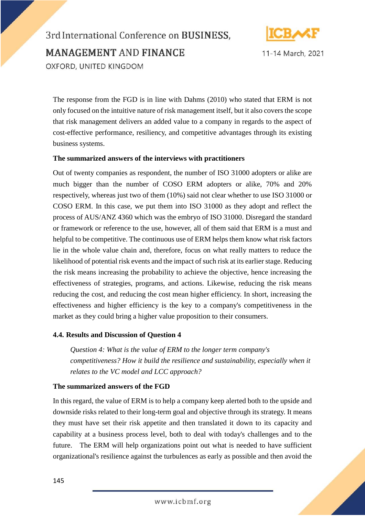



The response from the FGD is in line with Dahms (2010) who stated that ERM is not only focused on the intuitive nature of risk management itself, but it also covers the scope that risk management delivers an added value to a company in regards to the aspect of cost-effective performance, resiliency, and competitive advantages through its existing business systems.

#### **The summarized answers of the interviews with practitioners**

Out of twenty companies as respondent, the number of ISO 31000 adopters or alike are much bigger than the number of COSO ERM adopters or alike, 70% and 20% respectively, whereas just two of them (10%) said not clear whether to use ISO 31000 or COSO ERM. In this case, we put them into ISO 31000 as they adopt and reflect the process of AUS/ANZ 4360 which was the embryo of ISO 31000. Disregard the standard or framework or reference to the use, however, all of them said that ERM is a must and helpful to be competitive. The continuous use of ERM helps them know what risk factors lie in the whole value chain and, therefore, focus on what really matters to reduce the likelihood of potential risk events and the impact of such risk at its earlier stage. Reducing the risk means increasing the probability to achieve the objective, hence increasing the effectiveness of strategies, programs, and actions. Likewise, reducing the risk means reducing the cost, and reducing the cost mean higher efficiency. In short, increasing the effectiveness and higher efficiency is the key to a company's competitiveness in the market as they could bring a higher value proposition to their consumers.

#### **4.4. Results and Discussion of Question 4**

*Question 4: What is the value of ERM to the longer term company's competitiveness? How it build the resilience and sustainability, especially when it relates to the VC model and LCC approach?*

#### **The summarized answers of the FGD**

In this regard, the value of ERM is to help a company keep alerted both to the upside and downside risks related to their long-term goal and objective through its strategy. It means they must have set their risk appetite and then translated it down to its capacity and capability at a business process level, both to deal with today's challenges and to the future. The ERM will help organizations point out what is needed to have sufficient organizational's resilience against the turbulences as early as possible and then avoid the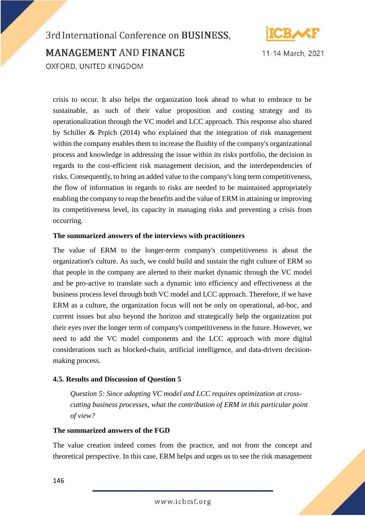

3rd International Conference on BUSINESS, **MANAGEMENT AND FINANCE** OXFORD, UNITED KINGDOM

crisis to occur. It also helps the organization look ahead to what to embrace to be sustainable, as such of their value proposition and costing strategy and its operationalization through the VC model and LCC approach. This response also shared by Schiller & Prpich (2014) who explained that the integration of risk management within the company enables them to increase the fluidity of the company's organizational process and knowledge in addressing the issue within its risks portfolio, the decision in regards to the cost-efficient risk management decision, and the interdependencies of risks. Consequently, to bring an added value to the company's long term competitiveness, the flow of information in regards to risks are needed to be maintained appropriately enabling the company to reap the benefits and the value of ERM in attaining or improving its competitiveness level, its capacity in managing risks and preventing a crisis from occurring.

#### **The summarized answers of the interviews with practitioners**

The value of ERM to the longer-term company's competitiveness is about the organization's culture. As such, we could build and sustain the right culture of ERM so that people in the company are alerted to their market dynamic through the VC model and be pro-active to translate such a dynamic into efficiency and effectiveness at the business process level through both VC model and LCC approach. Therefore, if we have ERM as a culture, the organization focus will not be only on operational, ad-hoc, and current issues but also beyond the horizon and strategically help the organization put their eyes over the longer term of company's competitiveness in the future. However, we need to add the VC model components and the LCC approach with more digital considerations such as blocked-chain, artificial intelligence, and data-driven decisionmaking process.

#### **4.5. Results and Discussion of Question 5**

*Question 5: Since adopting VC model and LCC requires optimization at crosscutting business processes, what the contribution of ERM in this particular point of view?*

#### **The summarized answers of the FGD**

The value creation indeed comes from the practice, and not from the concept and theoretical perspective. In this case, ERM helps and urges us to see the risk management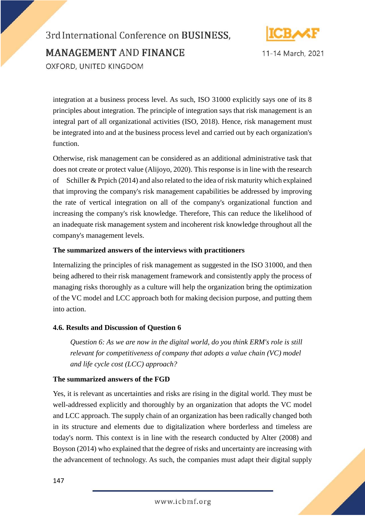

3rd International Conference on BUSINESS. **MANAGEMENT AND FINANCE** OXFORD, UNITED KINGDOM

integration at a business process level. As such, ISO 31000 explicitly says one of its 8 principles about integration. The principle of integration says that risk management is an integral part of all organizational activities (ISO, 2018). Hence, risk management must be integrated into and at the business process level and carried out by each organization's function.

Otherwise, risk management can be considered as an additional administrative task that does not create or protect value (Alijoyo, 2020). This response is in line with the research of Schiller & Prpich (2014) and also related to the idea of risk maturity which explained that improving the company's risk management capabilities be addressed by improving the rate of vertical integration on all of the company's organizational function and increasing the company's risk knowledge. Therefore, This can reduce the likelihood of an inadequate risk management system and incoherent risk knowledge throughout all the company's management levels.

#### **The summarized answers of the interviews with practitioners**

Internalizing the principles of risk management as suggested in the ISO 31000, and then being adhered to their risk management framework and consistently apply the process of managing risks thoroughly as a culture will help the organization bring the optimization of the VC model and LCC approach both for making decision purpose, and putting them into action.

#### **4.6. Results and Discussion of Question 6**

*Question 6: As we are now in the digital world, do you think ERM's role is still relevant for competitiveness of company that adopts a value chain (VC) model and life cycle cost (LCC) approach?*

#### **The summarized answers of the FGD**

Yes, it is relevant as uncertainties and risks are rising in the digital world. They must be well-addressed explicitly and thoroughly by an organization that adopts the VC model and LCC approach. The supply chain of an organization has been radically changed both in its structure and elements due to digitalization where borderless and timeless are today's norm. This context is in line with the research conducted by Alter (2008) and Boyson (2014) who explained that the degree of risks and uncertainty are increasing with the advancement of technology. As such, the companies must adapt their digital supply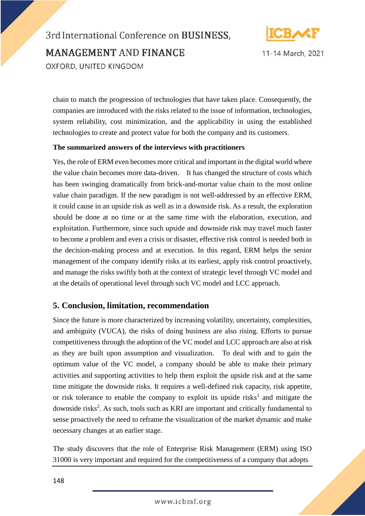

11-14 March, 2021

chain to match the progression of technologies that have taken place. Consequently, the companies are introduced with the risks related to the issue of information, technologies, system reliability, cost minimization, and the applicability in using the established technologies to create and protect value for both the company and its customers.

#### **The summarized answers of the interviews with practitioners**

Yes, the role of ERM even becomes more critical and important in the digital world where the value chain becomes more data-driven. It has changed the structure of costs which has been swinging dramatically from brick-and-mortar value chain to the most online value chain paradigm. If the new paradigm is not well-addressed by an effective ERM, it could cause in an upside risk as well as in a downside risk. As a result, the exploration should be done at no time or at the same time with the elaboration, execution, and exploitation. Furthermore, since such upside and downside risk may travel much faster to become a problem and even a crisis or disaster, effective risk control is needed both in the decision-making process and at execution. In this regard, ERM helps the senior management of the company identify risks at its earliest, apply risk control proactively, and manage the risks swiftly both at the context of strategic level through VC model and at the details of operational level through such VC model and LCC approach.

#### **5. Conclusion, limitation, recommendation**

Since the future is more characterized by increasing volatility, uncertainty, complexities, and ambiguity (VUCA), the risks of doing business are also rising. Efforts to pursue competitiveness through the adoption of the VC model and LCC approach are also at risk as they are built upon assumption and visualization. To deal with and to gain the optimum value of the VC model, a company should be able to make their primary activities and supporting activities to help them exploit the upside risk and at the same time mitigate the downside risks. It requires a well-defined risk capacity, risk appetite, or risk tolerance to enable the company to exploit its upside risks<sup>1</sup> and mitigate the downside risks<sup>2</sup>. As such, tools such as KRI are important and critically fundamental to sense proactively the need to reframe the visualization of the market dynamic and make necessary changes at an earlier stage.

The study discovers that the role of Enterprise Risk Management (ERM) using ISO 31000 is very important and required for the competitiveness of a company that adopts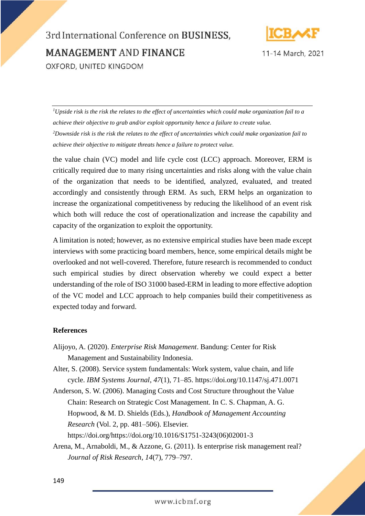

11-14 March, 2021

*<sup>1</sup>Upside risk is the risk the relates to the effect of uncertainties which could make organization fail to a achieve their objective to grab and/or exploit opportunity hence a failure to create value. <sup>2</sup>Downside risk is the risk the relates to the effect of uncertainties which could make organization fail to achieve their objective to mitigate threats hence a failure to protect value.*

the value chain (VC) model and life cycle cost (LCC) approach. Moreover, ERM is critically required due to many rising uncertainties and risks along with the value chain of the organization that needs to be identified, analyzed, evaluated, and treated accordingly and consistently through ERM. As such, ERM helps an organization to increase the organizational competitiveness by reducing the likelihood of an event risk which both will reduce the cost of operationalization and increase the capability and capacity of the organization to exploit the opportunity.

A limitation is noted; however, as no extensive empirical studies have been made except interviews with some practicing board members, hence, some empirical details might be overlooked and not well-covered. Therefore, future research is recommended to conduct such empirical studies by direct observation whereby we could expect a better understanding of the role of ISO 31000 based-ERM in leading to more effective adoption of the VC model and LCC approach to help companies build their competitiveness as expected today and forward.

#### **References**

- Alijoyo, A. (2020). *Enterprise Risk Management*. Bandung: Center for Risk Management and Sustainability Indonesia.
- Alter, S. (2008). Service system fundamentals: Work system, value chain, and life cycle. *IBM Systems Journal*, *47*(1), 71–85. https://doi.org/10.1147/sj.471.0071
- Anderson, S. W. (2006). Managing Costs and Cost Structure throughout the Value Chain: Research on Strategic Cost Management. In C. S. Chapman, A. G. Hopwood, & M. D. Shields (Eds.), *Handbook of Management Accounting Research* (Vol. 2, pp. 481–506). Elsevier. https://doi.org/https://doi.org/10.1016/S1751-3243(06)02001-3
- Arena, M., Arnaboldi, M., & Azzone, G. (2011). Is enterprise risk management real? *Journal of Risk Research*, *14*(7), 779–797.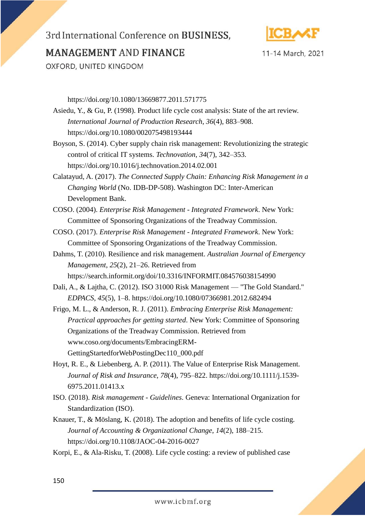### 3rd International Conference on BUSINESS,



11-14 March, 2021

**MANAGEMENT AND FINANCE** 

OXFORD, UNITED KINGDOM

https://doi.org/10.1080/13669877.2011.571775

- Asiedu, Y., & Gu, P. (1998). Product life cycle cost analysis: State of the art review. *International Journal of Production Research*, *36*(4), 883–908. https://doi.org/10.1080/002075498193444
- Boyson, S. (2014). Cyber supply chain risk management: Revolutionizing the strategic control of critical IT systems. *Technovation*, *34*(7), 342–353. https://doi.org/10.1016/j.technovation.2014.02.001
- Calatayud, A. (2017). *The Connected Supply Chain: Enhancing Risk Management in a Changing World* (No. IDB-DP-508). Washington DC: Inter-American Development Bank.
- COSO. (2004). *Enterprise Risk Management - Integrated Framework*. New York: Committee of Sponsoring Organizations of the Treadway Commission.
- COSO. (2017). *Enterprise Risk Management - Integrated Framework*. New York: Committee of Sponsoring Organizations of the Treadway Commission.
- Dahms, T. (2010). Resilience and risk management. *Australian Journal of Emergency Management*, *25*(2), 21–26. Retrieved from https://search.informit.org/doi/10.3316/INFORMIT.084576038154990
- Dali, A., & Lajtha, C. (2012). ISO 31000 Risk Management "The Gold Standard." *EDPACS*, *45*(5), 1–8. https://doi.org/10.1080/07366981.2012.682494
- Frigo, M. L., & Anderson, R. J. (2011). *Embracing Enterprise Risk Management: Practical approaches for getting started*. New York: Committee of Sponsoring Organizations of the Treadway Commission. Retrieved from www.coso.org/documents/EmbracingERM-GettingStartedforWebPostingDec110\_000.pdf
- Hoyt, R. E., & Liebenberg, A. P. (2011). The Value of Enterprise Risk Management. *Journal of Risk and Insurance*, *78*(4), 795–822. https://doi.org/10.1111/j.1539- 6975.2011.01413.x
- ISO. (2018). *Risk management - Guidelines*. Geneva: International Organization for Standardization (ISO).
- Knauer, T., & Möslang, K. (2018). The adoption and benefits of life cycle costing. *Journal of Accounting & Organizational Change*, *14*(2), 188–215. https://doi.org/10.1108/JAOC-04-2016-0027
- Korpi, E., & Ala-Risku, T. (2008). Life cycle costing: a review of published case